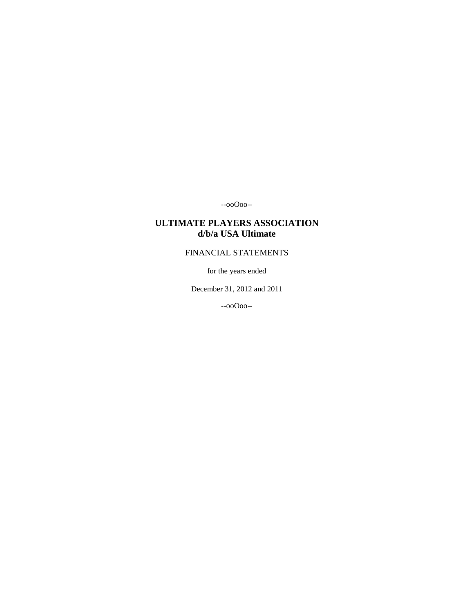--ooOoo--

# **ULTIMATE PLAYERS ASSOCIATION d/b/a USA Ultimate**

# FINANCIAL STATEMENTS

for the years ended

December 31, 2012 and 2011

--ooOoo--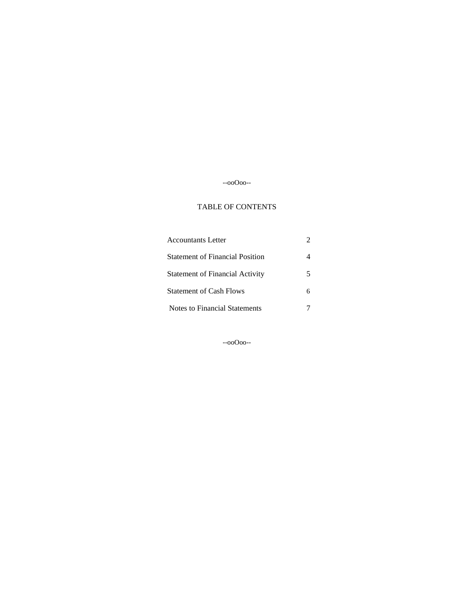# --ooOoo--

### TABLE OF CONTENTS

| Accountants Letter                     |  |
|----------------------------------------|--|
| <b>Statement of Financial Position</b> |  |
| <b>Statement of Financial Activity</b> |  |
| <b>Statement of Cash Flows</b>         |  |
| Notes to Financial Statements          |  |

--ooOoo--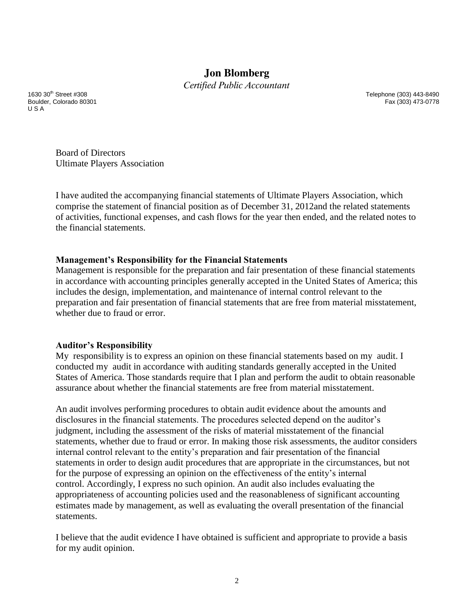# **Jon Blomberg**

*Certified Public Accountant*

Boulder, Colorado 80301 U S A

1630 30th Street #308 Telephone (303) 443-8490

Board of Directors Ultimate Players Association

I have audited the accompanying financial statements of Ultimate Players Association, which comprise the statement of financial position as of December 31, 2012and the related statements of activities, functional expenses, and cash flows for the year then ended, and the related notes to the financial statements.

## **Management's Responsibility for the Financial Statements**

Management is responsible for the preparation and fair presentation of these financial statements in accordance with accounting principles generally accepted in the United States of America; this includes the design, implementation, and maintenance of internal control relevant to the preparation and fair presentation of financial statements that are free from material misstatement, whether due to fraud or error.

## **Auditor's Responsibility**

My responsibility is to express an opinion on these financial statements based on my audit. I conducted my audit in accordance with auditing standards generally accepted in the United States of America. Those standards require that I plan and perform the audit to obtain reasonable assurance about whether the financial statements are free from material misstatement.

An audit involves performing procedures to obtain audit evidence about the amounts and disclosures in the financial statements. The procedures selected depend on the auditor's judgment, including the assessment of the risks of material misstatement of the financial statements, whether due to fraud or error. In making those risk assessments, the auditor considers internal control relevant to the entity's preparation and fair presentation of the financial statements in order to design audit procedures that are appropriate in the circumstances, but not for the purpose of expressing an opinion on the effectiveness of the entity's internal control. Accordingly, I express no such opinion. An audit also includes evaluating the appropriateness of accounting policies used and the reasonableness of significant accounting estimates made by management, as well as evaluating the overall presentation of the financial statements.

I believe that the audit evidence I have obtained is sufficient and appropriate to provide a basis for my audit opinion.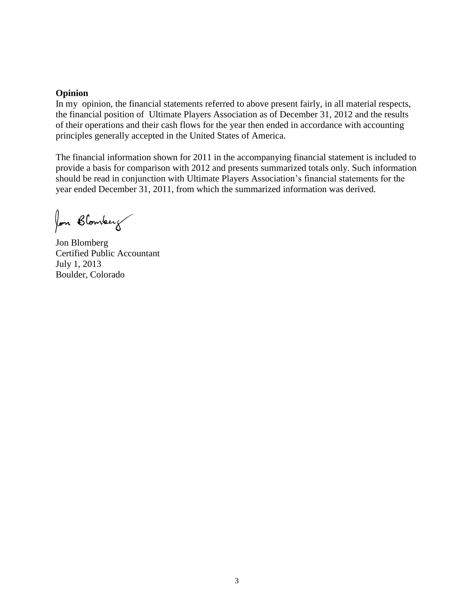## **Opinion**

In my opinion, the financial statements referred to above present fairly, in all material respects, the financial position of Ultimate Players Association as of December 31, 2012 and the results of their operations and their cash flows for the year then ended in accordance with accounting principles generally accepted in the United States of America.

The financial information shown for 2011 in the accompanying financial statement is included to provide a basis for comparison with 2012 and presents summarized totals only. Such information should be read in conjunction with Ultimate Players Association's financial statements for the year ended December 31, 2011, from which the summarized information was derived.

fon Blomberg

Jon Blomberg Certified Public Accountant July 1, 2013 Boulder, Colorado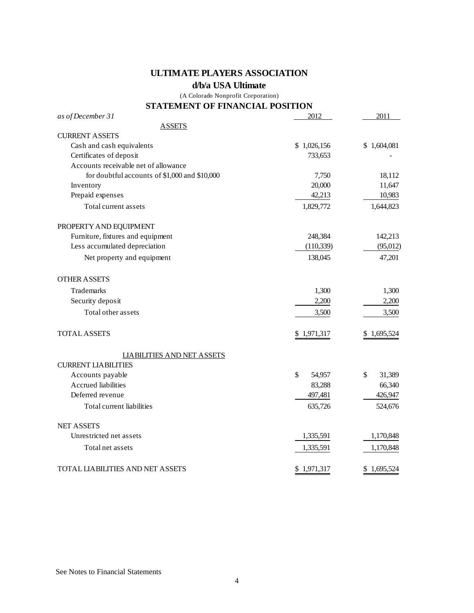# **ULTIMATE PLAYERS ASSOCIATION**

## **d/b/a USA Ultimate**

(A Colorado Nonprofit Corporation)

## **STATEMENT OF FINANCIAL POSITION**

| as of December 31                             | 2012         | 2011         |
|-----------------------------------------------|--------------|--------------|
| <b>ASSETS</b>                                 |              |              |
| <b>CURRENT ASSETS</b>                         |              |              |
| Cash and cash equivalents                     | \$1,026,156  | \$1,604,081  |
| Certificates of deposit                       | 733,653      |              |
| Accounts receivable net of allowance          |              |              |
| for doubtful accounts of \$1,000 and \$10,000 | 7,750        | 18,112       |
| Inventory                                     | 20,000       | 11,647       |
| Prepaid expenses                              | 42,213       | 10,983       |
| Total current assets                          | 1,829,772    | 1,644,823    |
| PROPERTY AND EQUIPMENT                        |              |              |
| Furniture, fixtures and equipment             | 248,384      | 142,213      |
| Less accumulated depreciation                 | (110, 339)   | (95, 012)    |
| Net property and equipment                    | 138,045      | 47,201       |
| <b>OTHER ASSETS</b>                           |              |              |
| Trademarks                                    | 1,300        | 1,300        |
| Security deposit                              | 2,200        | 2,200        |
| Total other assets                            | 3,500        | 3,500        |
| <b>TOTAL ASSETS</b>                           | \$1,971,317  | \$1,695,524  |
| <b>LIABILITIES AND NET ASSETS</b>             |              |              |
| <b>CURRENT LIABILITIES</b>                    |              |              |
| Accounts payable                              | \$<br>54,957 | 31,389<br>\$ |
| <b>Accrued</b> liabilities                    | 83,288       | 66,340       |
| Deferred revenue                              | 497,481      | 426,947      |
| Total current liabilities                     | 635,726      | 524,676      |
| <b>NET ASSETS</b>                             |              |              |
| Unrestricted net assets                       | 1,335,591    | 1,170,848    |
| Total net assets                              | 1,335,591    | 1,170,848    |
| TOTAL LIABILITIES AND NET ASSETS              | \$1,971,317  | \$1,695,524  |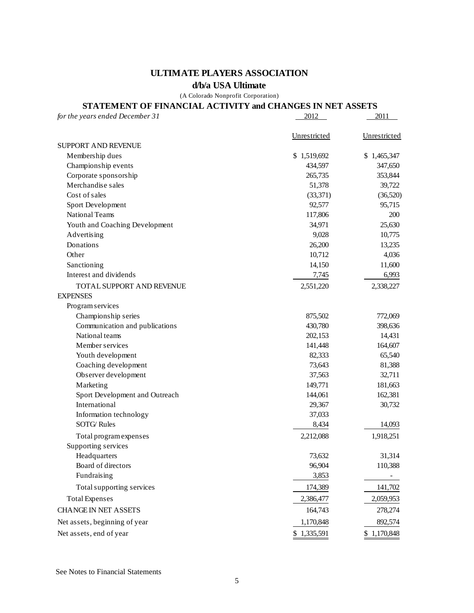# **ULTIMATE PLAYERS ASSOCIATION**

## **d/b/a USA Ultimate**

(A Colorado Nonprofit Corporation)

# **STATEMENT OF FINANCIAL ACTIVITY and CHANGES IN NET ASSETS**

| for the years ended December 31 | 2012         | 2011         |
|---------------------------------|--------------|--------------|
|                                 | Unrestricted | Unrestricted |
| SUPPORT AND REVENUE             |              |              |
| Membership dues                 | \$1,519,692  | \$1,465,347  |
| Championship events             | 434,597      | 347,650      |
| Corporate sponsorship           | 265,735      | 353,844      |
| Merchandise sales               | 51,378       | 39,722       |
| Cost of sales                   | (33, 371)    | (36,520)     |
| Sport Development               | 92,577       | 95,715       |
| National Teams                  | 117,806      | 200          |
| Youth and Coaching Development  | 34,971       | 25,630       |
| Advertising                     | 9,028        | 10,775       |
| Donations                       | 26,200       | 13,235       |
| Other                           | 10,712       | 4,036        |
| Sanctioning                     | 14,150       | 11,600       |
| Interest and dividends          | 7,745        | 6,993        |
| TOTAL SUPPORT AND REVENUE       | 2,551,220    | 2,338,227    |
| <b>EXPENSES</b>                 |              |              |
| Program services                |              |              |
| Championship series             | 875,502      | 772,069      |
| Communication and publications  | 430,780      | 398,636      |
| National teams                  | 202,153      | 14,431       |
| Member services                 | 141,448      | 164,607      |
| Youth development               | 82,333       | 65,540       |
| Coaching development            | 73,643       | 81,388       |
| Observer development            | 37,563       | 32,711       |
| Marketing                       | 149,771      | 181,663      |
| Sport Development and Outreach  | 144,061      | 162,381      |
| International                   | 29,367       | 30,732       |
| Information technology          | 37,033       |              |
| <b>SOTG</b> Rules               | 8,434        | 14,093       |
| Total program expenses          | 2,212,088    | 1,918,251    |
| Supporting services             |              |              |
| Headquarters                    | 73,632       | 31,314       |
| Board of directors              | 96,904       | 110,388      |
| Fundraising                     | 3,853        |              |
| Total supporting services       | 174,389      | 141,702      |
| <b>Total Expenses</b>           | 2,386,477    | 2,059,953    |
| <b>CHANGE IN NET ASSETS</b>     | 164,743      | 278,274      |
| Net assets, beginning of year   | 1,170,848    | 892,574      |
| Net assets, end of year         | \$1,335,591  | \$1,170,848  |

See Notes to Financial Statements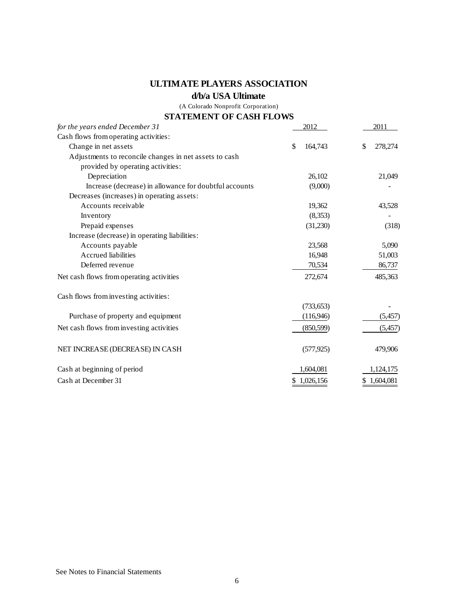# **ULTIMATE PLAYERS ASSOCIATION**

# **d/b/a USA Ultimate**

(A Colorado Nonprofit Corporation)

## **STATEMENT OF CASH FLOWS**

| for the years ended December 31                        | 2012          | 2011          |
|--------------------------------------------------------|---------------|---------------|
| Cash flows from operating activities:                  |               |               |
| Change in net assets                                   | \$<br>164,743 | 278,274<br>\$ |
| Adjustments to reconcile changes in net assets to cash |               |               |
| provided by operating activities:                      |               |               |
| Depreciation                                           | 26,102        | 21,049        |
| Increase (decrease) in allowance for doubtful accounts | (9,000)       |               |
| Decreases (increases) in operating assets:             |               |               |
| Accounts receivable                                    | 19,362        | 43,528        |
| Inventory                                              | (8,353)       |               |
| Prepaid expenses                                       | (31,230)      | (318)         |
| Increase (decrease) in operating liabilities:          |               |               |
| Accounts payable                                       | 23,568        | 5,090         |
| Accrued liabilities                                    | 16,948        | 51,003        |
| Deferred revenue                                       | 70,534        | 86,737        |
| Net cash flows from operating activities               | 272,674       | 485,363       |
| Cash flows from investing activities:                  |               |               |
|                                                        | (733, 653)    |               |
| Purchase of property and equipment                     | (116,946)     | (5, 457)      |
| Net cash flows from investing activities               | (850, 599)    | (5, 457)      |
| NET INCREASE (DECREASE) IN CASH                        | (577, 925)    | 479,906       |
| Cash at beginning of period                            | 1,604,081     | 1,124,175     |
| Cash at December 31                                    | \$1,026,156   | \$1,604,081   |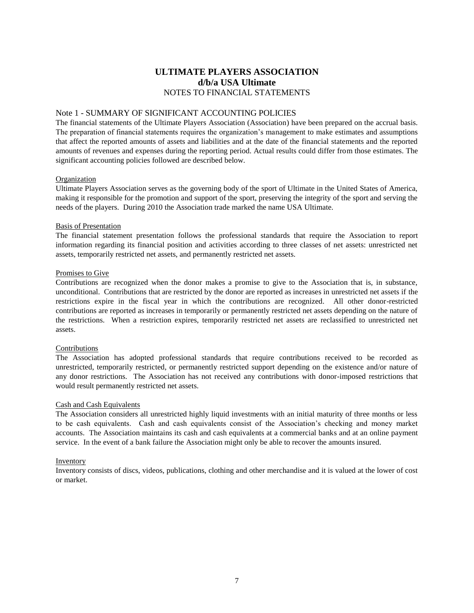# **ULTIMATE PLAYERS ASSOCIATION d/b/a USA Ultimate** NOTES TO FINANCIAL STATEMENTS

## Note 1 - SUMMARY OF SIGNIFICANT ACCOUNTING POLICIES

The financial statements of the Ultimate Players Association (Association) have been prepared on the accrual basis. The preparation of financial statements requires the organization's management to make estimates and assumptions that affect the reported amounts of assets and liabilities and at the date of the financial statements and the reported amounts of revenues and expenses during the reporting period. Actual results could differ from those estimates. The significant accounting policies followed are described below.

### Organization

Ultimate Players Association serves as the governing body of the sport of Ultimate in the United States of America, making it responsible for the promotion and support of the sport, preserving the integrity of the sport and serving the needs of the players. During 2010 the Association trade marked the name USA Ultimate.

### Basis of Presentation

The financial statement presentation follows the professional standards that require the Association to report information regarding its financial position and activities according to three classes of net assets: unrestricted net assets, temporarily restricted net assets, and permanently restricted net assets.

### Promises to Give

Contributions are recognized when the donor makes a promise to give to the Association that is, in substance, unconditional. Contributions that are restricted by the donor are reported as increases in unrestricted net assets if the restrictions expire in the fiscal year in which the contributions are recognized. All other donor-restricted contributions are reported as increases in temporarily or permanently restricted net assets depending on the nature of the restrictions. When a restriction expires, temporarily restricted net assets are reclassified to unrestricted net assets.

### Contributions

The Association has adopted professional standards that require contributions received to be recorded as unrestricted, temporarily restricted, or permanently restricted support depending on the existence and/or nature of any donor restrictions. The Association has not received any contributions with donor-imposed restrictions that would result permanently restricted net assets.

### Cash and Cash Equivalents

The Association considers all unrestricted highly liquid investments with an initial maturity of three months or less to be cash equivalents. Cash and cash equivalents consist of the Association's checking and money market accounts. The Association maintains its cash and cash equivalents at a commercial banks and at an online payment service. In the event of a bank failure the Association might only be able to recover the amounts insured.

### Inventory

Inventory consists of discs, videos, publications, clothing and other merchandise and it is valued at the lower of cost or market.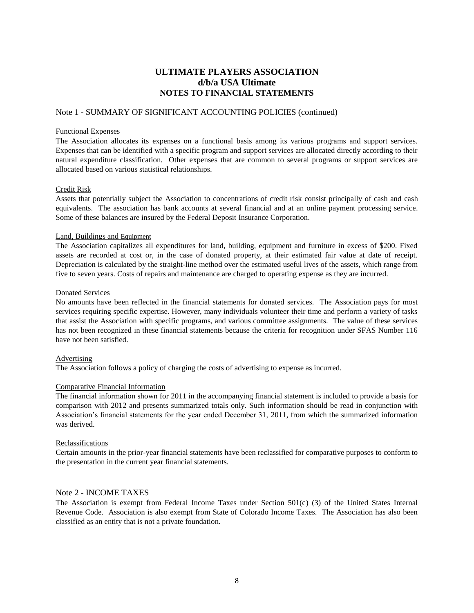# **ULTIMATE PLAYERS ASSOCIATION d/b/a USA Ultimate NOTES TO FINANCIAL STATEMENTS**

### Note 1 - SUMMARY OF SIGNIFICANT ACCOUNTING POLICIES (continued)

#### Functional Expenses

The Association allocates its expenses on a functional basis among its various programs and support services. Expenses that can be identified with a specific program and support services are allocated directly according to their natural expenditure classification. Other expenses that are common to several programs or support services are allocated based on various statistical relationships.

### Credit Risk

Assets that potentially subject the Association to concentrations of credit risk consist principally of cash and cash equivalents. The association has bank accounts at several financial and at an online payment processing service. Some of these balances are insured by the Federal Deposit Insurance Corporation.

#### Land, Buildings and Equipment

The Association capitalizes all expenditures for land, building, equipment and furniture in excess of \$200. Fixed assets are recorded at cost or, in the case of donated property, at their estimated fair value at date of receipt. Depreciation is calculated by the straight-line method over the estimated useful lives of the assets, which range from five to seven years. Costs of repairs and maintenance are charged to operating expense as they are incurred.

#### Donated Services

No amounts have been reflected in the financial statements for donated services. The Association pays for most services requiring specific expertise. However, many individuals volunteer their time and perform a variety of tasks that assist the Association with specific programs, and various committee assignments. The value of these services has not been recognized in these financial statements because the criteria for recognition under SFAS Number 116 have not been satisfied.

### Advertising

The Association follows a policy of charging the costs of advertising to expense as incurred.

### Comparative Financial Information

The financial information shown for 2011 in the accompanying financial statement is included to provide a basis for comparison with 2012 and presents summarized totals only. Such information should be read in conjunction with Association's financial statements for the year ended December 31, 2011, from which the summarized information was derived.

#### Reclassifications

Certain amounts in the prior-year financial statements have been reclassified for comparative purposes to conform to the presentation in the current year financial statements.

### Note 2 - INCOME TAXES

The Association is exempt from Federal Income Taxes under Section  $501(c)$  (3) of the United States Internal Revenue Code. Association is also exempt from State of Colorado Income Taxes. The Association has also been classified as an entity that is not a private foundation.